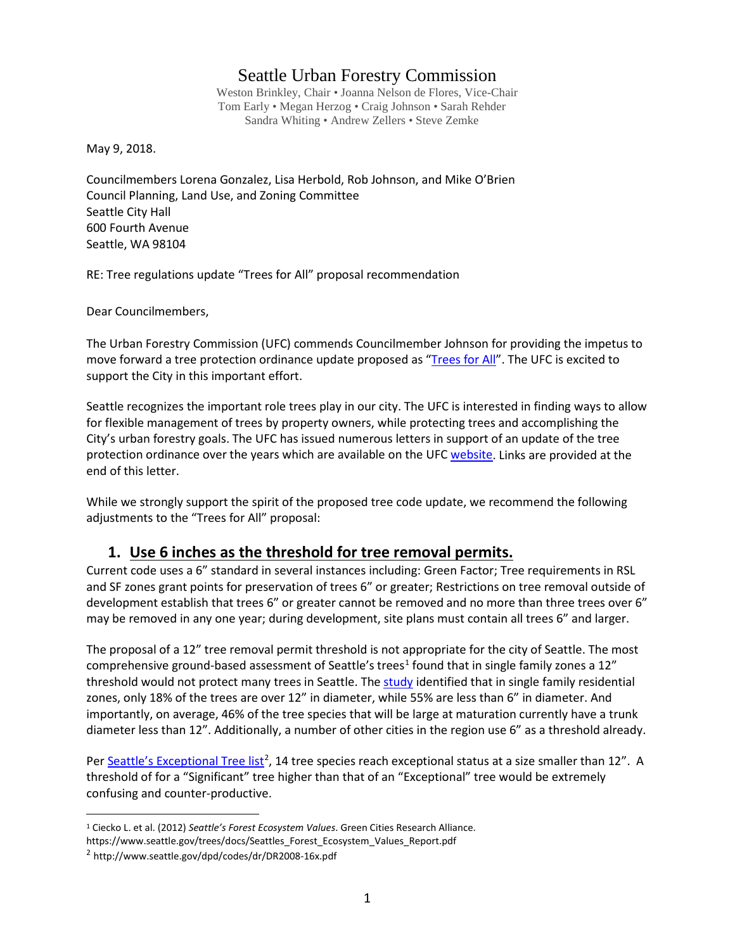### Seattle Urban Forestry Commission

Weston Brinkley, Chair • Joanna Nelson de Flores, Vice-Chair Tom Early • Megan Herzog • Craig Johnson • Sarah Rehder Sandra Whiting • Andrew Zellers • Steve Zemke

May 9, 2018.

Councilmembers Lorena Gonzalez, Lisa Herbold, Rob Johnson, and Mike O'Brien Council Planning, Land Use, and Zoning Committee Seattle City Hall 600 Fourth Avenue Seattle, WA 98104

RE: Tree regulations update "Trees for All" proposal recommendation

Dear Councilmembers,

The Urban Forestry Commission (UFC) commends Councilmember Johnson for providing the impetus to move forward a tree protection ordinance update proposed as ["Trees for All"](http://council.seattle.gov/2018/04/26/johnson-releases-draft-framework-to-update-to-the-citys-tree-ordinance/). The UFC is excited to support the City in this important effort.

Seattle recognizes the important role trees play in our city. The UFC is interested in finding ways to allow for flexible management of trees by property owners, while protecting trees and accomplishing the City's urban forestry goals. The UFC has issued numerous letters in support of an update of the tree protection ordinance over the years which are available on the UF[C website.](http://www.seattle.gov/urbanforestrycommission/ufcissueddocuments) Links are provided at the end of this letter.

While we strongly support the spirit of the proposed tree code update, we recommend the following adjustments to the "Trees for All" proposal:

#### **1. Use 6 inches as the threshold for tree removal permits.**

Current code uses a 6" standard in several instances including: Green Factor; Tree requirements in RSL and SF zones grant points for preservation of trees 6" or greater; Restrictions on tree removal outside of development establish that trees 6" or greater cannot be removed and no more than three trees over 6" may be removed in any one year; during development, site plans must contain all trees 6" and larger.

The proposal of a 12" tree removal permit threshold is not appropriate for the city of Seattle. The most comprehensive ground-based assessment of Seattle's trees<sup>[1](#page-0-0)</sup> found that in single family zones a 12" threshold would not protect many trees in Seattle. Th[e study](http://www.seattle.gov/trees/docs/Seattles_Forest_Ecosystem_Values_Report.pdf) identified that in single family residential zones, only 18% of the trees are over 12" in diameter, while 55% are less than 6" in diameter. And importantly, on average, 46% of the tree species that will be large at maturation currently have a trunk diameter less than 12". Additionally, a number of other cities in the region use 6" as a threshold already.

Pe[r Seattle's Exceptional Tree list](http://www.seattle.gov/dpd/codes/dr/DR2008-16x.pdf)<sup>[2](#page-0-1)</sup>, 14 tree species reach exceptional status at a size smaller than 12". A threshold of for a "Significant" tree higher than that of an "Exceptional" tree would be extremely confusing and counter-productive.

<span id="page-0-0"></span> <sup>1</sup> Ciecko L. et al. (2012) *Seattle's Forest Ecosystem Values*. Green Cities Research Alliance.

https://www.seattle.gov/trees/docs/Seattles\_Forest\_Ecosystem\_Values\_Report.pdf

<span id="page-0-1"></span><sup>2</sup> http://www.seattle.gov/dpd/codes/dr/DR2008-16x.pdf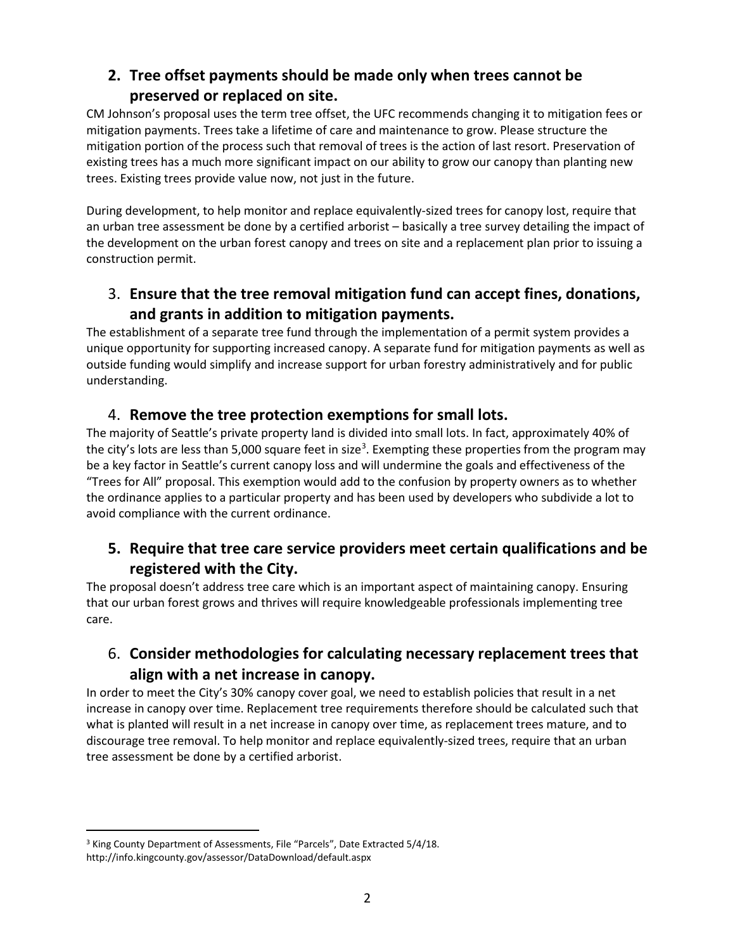# **2. Tree offset payments should be made only when trees cannot be preserved or replaced on site.**

CM Johnson's proposal uses the term tree offset, the UFC recommends changing it to mitigation fees or mitigation payments. Trees take a lifetime of care and maintenance to grow. Please structure the mitigation portion of the process such that removal of trees is the action of last resort. Preservation of existing trees has a much more significant impact on our ability to grow our canopy than planting new trees. Existing trees provide value now, not just in the future.

During development, to help monitor and replace equivalently-sized trees for canopy lost, require that an urban tree assessment be done by a certified arborist – basically a tree survey detailing the impact of the development on the urban forest canopy and trees on site and a replacement plan prior to issuing a construction permit.

# 3. **Ensure that the tree removal mitigation fund can accept fines, donations, and grants in addition to mitigation payments.**

The establishment of a separate tree fund through the implementation of a permit system provides a unique opportunity for supporting increased canopy. A separate fund for mitigation payments as well as outside funding would simplify and increase support for urban forestry administratively and for public understanding.

### 4. **Remove the tree protection exemptions for small lots.**

The majority of Seattle's private property land is divided into small lots. In fact, approximately 40% of the city's lots are less than 5,000 square feet in size<sup>[3](#page-1-0)</sup>. Exempting these properties from the program may be a key factor in Seattle's current canopy loss and will undermine the goals and effectiveness of the "Trees for All" proposal. This exemption would add to the confusion by property owners as to whether the ordinance applies to a particular property and has been used by developers who subdivide a lot to avoid compliance with the current ordinance.

### **5. Require that tree care service providers meet certain qualifications and be registered with the City.**

The proposal doesn't address tree care which is an important aspect of maintaining canopy. Ensuring that our urban forest grows and thrives will require knowledgeable professionals implementing tree care.

# 6. **Consider methodologies for calculating necessary replacement trees that align with a net increase in canopy.**

In order to meet the City's 30% canopy cover goal, we need to establish policies that result in a net increase in canopy over time. Replacement tree requirements therefore should be calculated such that what is planted will result in a net increase in canopy over time, as replacement trees mature, and to discourage tree removal. To help monitor and replace equivalently-sized trees, require that an urban tree assessment be done by a certified arborist.

<span id="page-1-0"></span><sup>&</sup>lt;sup>3</sup> King County Department of Assessments, File "Parcels", Date Extracted 5/4/18.

http://info.kingcounty.gov/assessor/DataDownload/default.aspx